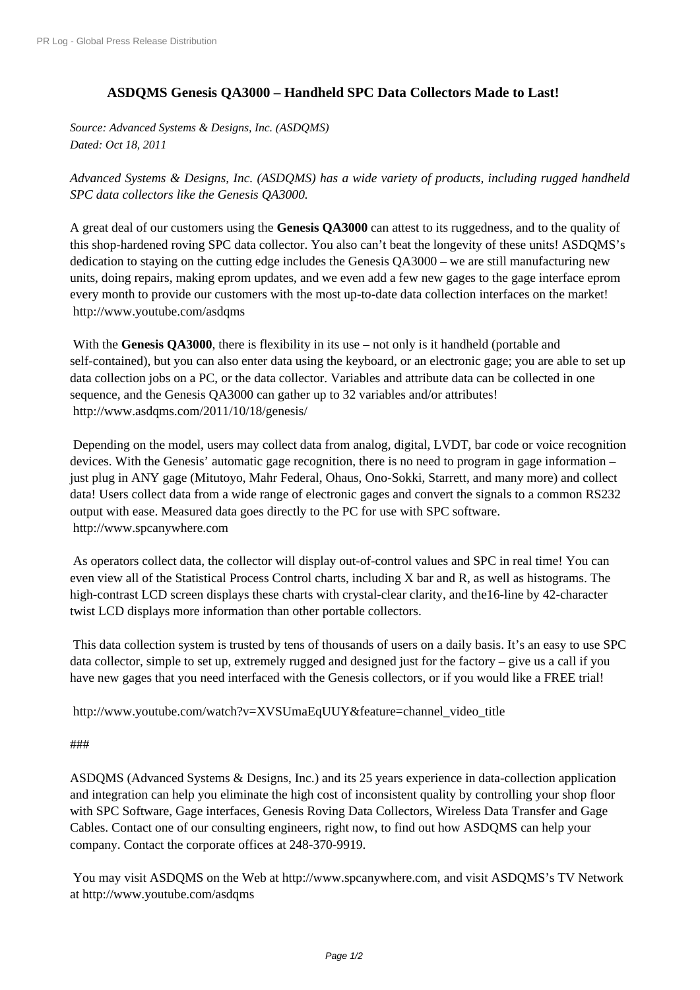## **[ASDQMS Genesis](http://www.prlog.org/) QA3000 – Handheld SPC Data Collectors Made to Last!**

*Source: Advanced Systems & Designs, Inc. (ASDQMS) Dated: Oct 18, 2011*

*Advanced Systems & Designs, Inc. (ASDQMS) has a wide variety of products, including rugged handheld SPC data collectors like the Genesis QA3000.*

A great deal of our customers using the **Genesis QA3000** can attest to its ruggedness, and to the quality of this shop-hardened roving SPC data collector. You also can't beat the longevity of these units! ASDQMS's dedication to staying on the cutting edge includes the Genesis QA3000 – we are still manufacturing new units, doing repairs, making eprom updates, and we even add a few new gages to the gage interface eprom every month to provide our customers with the most up-to-date data collection interfaces on the market! http://www.youtube.com/asdqms

With the **Genesis QA3000**, there is flexibility in its use – not only is it handheld (portable and self-contained), but you can also enter data using the keyboard, or an electronic gage; you are able to set up [data collection jobs on a PC, or th](http://www.prlog.org/11699184.html)e data collector. Variables and attribute data can be collected in one sequence, and the Genesis QA3000 can gather up to 32 variables and/or attributes! http://www.asdqms.com/2011/10/18/genesis/

 Depending on the model, users may collect data from analog, digital, LVDT, bar code or voice recognition devices. With the Genesis' automatic gage recognition, there is no need to program in gage information – [just plug in ANY gage \(Mitutoyo, Mahr Feder](http://www.prlog.org/11699184.html)al, Ohaus, Ono-Sokki, Starrett, and many more) and collect data! Users collect data from a wide range of electronic gages and convert the signals to a common RS232 output with ease. Measured data goes directly to the PC for use with SPC software. http://www.spcanywhere.com

 As operators collect data, the collector will display out-of-control values and SPC in real time! You can even view all of the Statistical Process Control charts, including X bar and R, as well as histograms. The [high-contrast LCD screen disp](http://www.prlog.org/11699184.html)lays these charts with crystal-clear clarity, and the16-line by 42-character twist LCD displays more information than other portable collectors.

 This data collection system is trusted by tens of thousands of users on a daily basis. It's an easy to use SPC data collector, simple to set up, extremely rugged and designed just for the factory – give us a call if you have new gages that you need interfaced with the Genesis collectors, or if you would like a FREE trial!

http://www.youtube.com/watch?v=XVSUmaEqUUY&feature=channel\_video\_title

## ###

[ASDQMS \(Advanced Systems & Designs, Inc.\) and its 25 years experience in data-c](http://www.prlog.org/11699184.html)ollection application and integration can help you eliminate the high cost of inconsistent quality by controlling your shop floor [with](http://www.prlog.org/11699184.html) SPC Software, Gage interfaces, Genesis Roving Data Collectors, Wireless Data Transfer and Gage Cables. Contact one of our consulting engineers, right now, to find out how ASDQMS can help your [company.](http://www.prlog.org/11699184.html) Contact the corporate offices at 248-370-9919.

 You may visit ASDQMS on the Web at http://www.spcanywhere.com, and visit ASDQMS's TV Network at http://www.youtube.com/asdqms